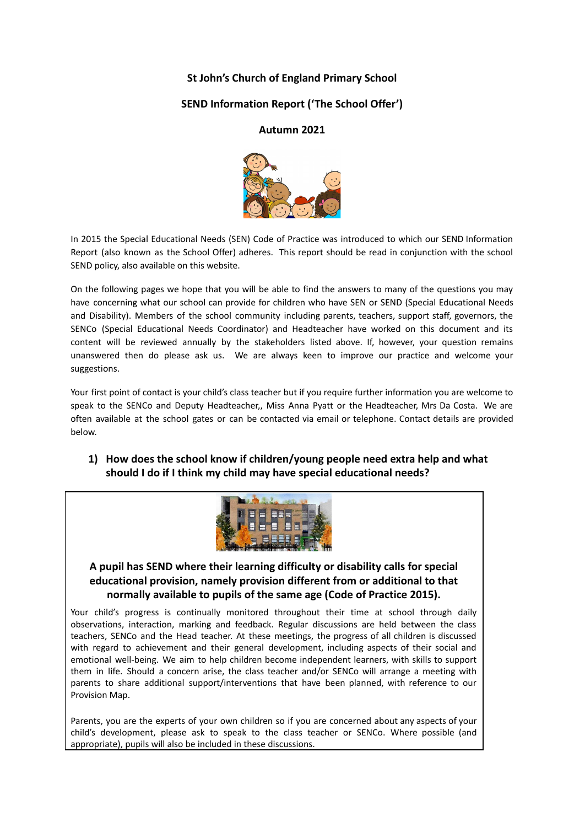### **St John's Church of England Primary School**

### **SEND Information Report ('The School Offer')**

#### **Autumn 2021**



In 2015 the Special Educational Needs (SEN) Code of Practice was introduced to which our SEND Information Report (also known as the School Offer) adheres. This report should be read in conjunction with the school SEND policy, also available on this website.

On the following pages we hope that you will be able to find the answers to many of the questions you may have concerning what our school can provide for children who have SEN or SEND (Special Educational Needs and Disability). Members of the school community including parents, teachers, support staff, governors, the SENCo (Special Educational Needs Coordinator) and Headteacher have worked on this document and its content will be reviewed annually by the stakeholders listed above. If, however, your question remains unanswered then do please ask us. We are always keen to improve our practice and welcome your suggestions.

Your first point of contact is your child's class teacher but if you require further information you are welcome to speak to the SENCo and Deputy Headteacher,, Miss Anna Pyatt or the Headteacher, Mrs Da Costa. We are often available at the school gates or can be contacted via email or telephone. Contact details are provided below.

## **1) How does the school know if children/young people need extra help and what should I do if I think my child may have special educational needs?**



### **A pupil has SEND where their learning difficulty or disability calls for special educational provision, namely provision different from or additional to that normally available to pupils of the same age (Code of Practice 2015).**

Your child's progress is continually monitored throughout their time at school through daily observations, interaction, marking and feedback. Regular discussions are held between the class teachers, SENCo and the Head teacher. At these meetings, the progress of all children is discussed with regard to achievement and their general development, including aspects of their social and emotional well-being. We aim to help children become independent learners, with skills to support them in life. Should a concern arise, the class teacher and/or SENCo will arrange a meeting with parents to share additional support/interventions that have been planned, with reference to our Provision Map.

Parents, you are the experts of your own children so if you are concerned about any aspects of your child's development, please ask to speak to the class teacher or SENCo. Where possible (and appropriate), pupils will also be included in these discussions.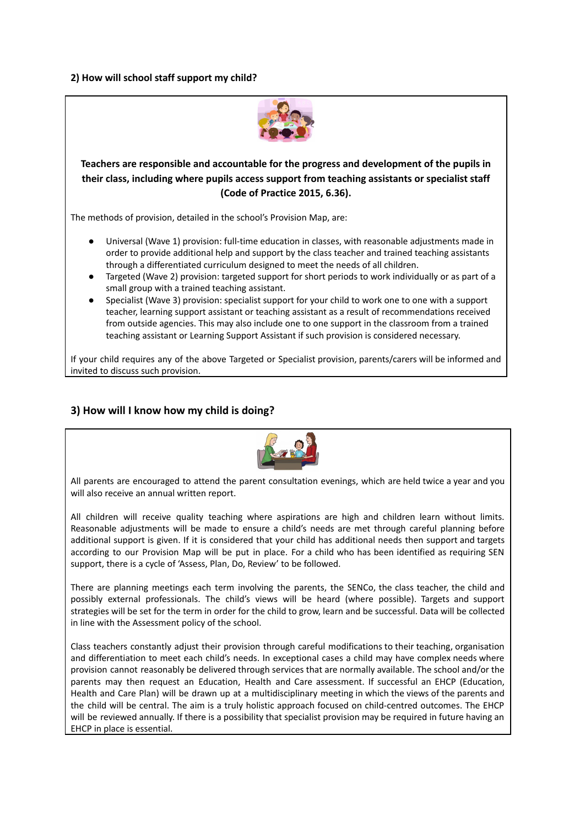#### **2) How will school staff support my child?**



**Teachers are responsible and accountable for the progress and development of the pupils in their class, including where pupils access support from teaching assistants or specialist staff (Code of Practice 2015, 6.36).**

The methods of provision, detailed in the school's Provision Map, are:

- Universal (Wave 1) provision: full-time education in classes, with reasonable adjustments made in order to provide additional help and support by the class teacher and trained teaching assistants through a differentiated curriculum designed to meet the needs of all children.
- Targeted (Wave 2) provision: targeted support for short periods to work individually or as part of a small group with a trained teaching assistant.
- Specialist (Wave 3) provision: specialist support for your child to work one to one with a support teacher, learning support assistant or teaching assistant as a result of recommendations received from outside agencies. This may also include one to one support in the classroom from a trained teaching assistant or Learning Support Assistant if such provision is considered necessary.

If your child requires any of the above Targeted or Specialist provision, parents/carers will be informed and invited to discuss such provision.

#### **3) How will I know how my child is doing?**



All parents are encouraged to attend the parent consultation evenings, which are held twice a year and you will also receive an annual written report.

All children will receive quality teaching where aspirations are high and children learn without limits. Reasonable adjustments will be made to ensure a child's needs are met through careful planning before additional support is given. If it is considered that your child has additional needs then support and targets according to our Provision Map will be put in place. For a child who has been identified as requiring SEN support, there is a cycle of 'Assess, Plan, Do, Review' to be followed.

There are planning meetings each term involving the parents, the SENCo, the class teacher, the child and possibly external professionals. The child's views will be heard (where possible). Targets and support strategies will be set for the term in order for the child to grow, learn and be successful. Data will be collected in line with the Assessment policy of the school.

Class teachers constantly adjust their provision through careful modifications to their teaching, organisation and differentiation to meet each child's needs. In exceptional cases a child may have complex needs where provision cannot reasonably be delivered through services that are normally available. The school and/or the parents may then request an Education, Health and Care assessment. If successful an EHCP (Education, Health and Care Plan) will be drawn up at a multidisciplinary meeting in which the views of the parents and the child will be central. The aim is a truly holistic approach focused on child-centred outcomes. The EHCP will be reviewed annually. If there is a possibility that specialist provision may be required in future having an EHCP in place is essential.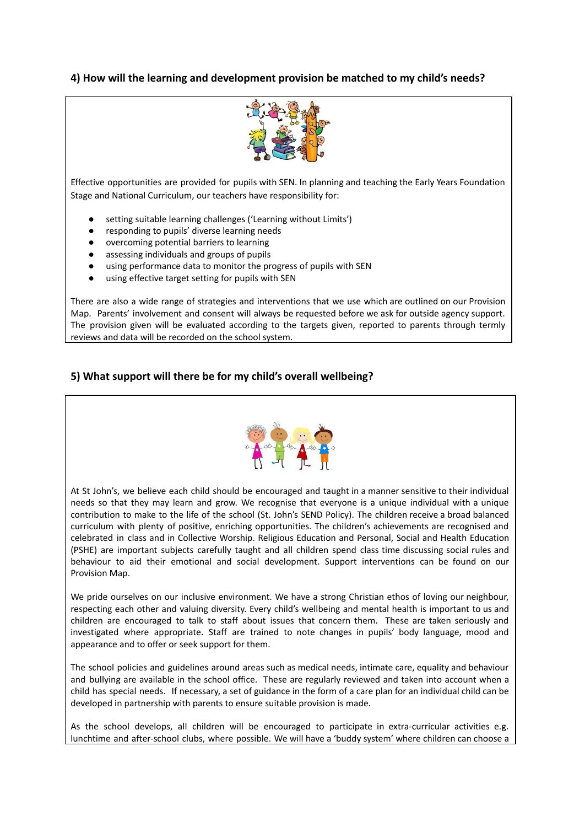### **4) How will the learning and development provision be matched to my child's needs?**



Effective opportunities are provided for pupils with SEN. In planning and teaching the Early Years Foundation Stage and National Curriculum, our teachers have responsibility for:

- setting suitable learning challenges ('Learning without Limits')
- responding to pupils' diverse learning needs
- overcoming potential barriers to learning
- assessing individuals and groups of pupils
- using performance data to monitor the progress of pupils with SEN
- using effective target setting for pupils with SEN

There are also a wide range of strategies and interventions that we use which are outlined on our Provision Map. Parents' involvement and consent will always be requested before we ask for outside agency support. The provision given will be evaluated according to the targets given, reported to parents through termly reviews and data will be recorded on the school system.

#### **5) What support will there be for my child's overall wellbeing?**



At St John's, we believe each child should be encouraged and taught in a manner sensitive to their individual needs so that they may learn and grow. We recognise that everyone is a unique individual with a unique contribution to make to the life of the school (St. John's SEND Policy). The children receive a broad balanced curriculum with plenty of positive, enriching opportunities. The children's achievements are recognised and celebrated in class and in Collective Worship. Religious Education and Personal, Social and Health Education (PSHE) are important subjects carefully taught and all children spend class time discussing social rules and behaviour to aid their emotional and social development. Support interventions can be found on our Provision Map.

We pride ourselves on our inclusive environment. We have a strong Christian ethos of loving our neighbour, respecting each other and valuing diversity. Every child's wellbeing and mental health is important to us and children are encouraged to talk to staff about issues that concern them. These are taken seriously and investigated where appropriate. Staff are trained to note changes in pupils' body language, mood and appearance and to offer or seek support for them.

The school policies and guidelines around areas such as medical needs, intimate care, equality and behaviour and bullying are available in the school office. These are regularly reviewed and taken into account when a child has special needs. If necessary, a set of guidance in the form of a care plan for an individual child can be developed in partnership with parents to ensure suitable provision is made.

As the school develops, all children will be encouraged to participate in extra-curricular activities e.g. lunchtime and after-school clubs, where possible. We will have a 'buddy system' where children can choose a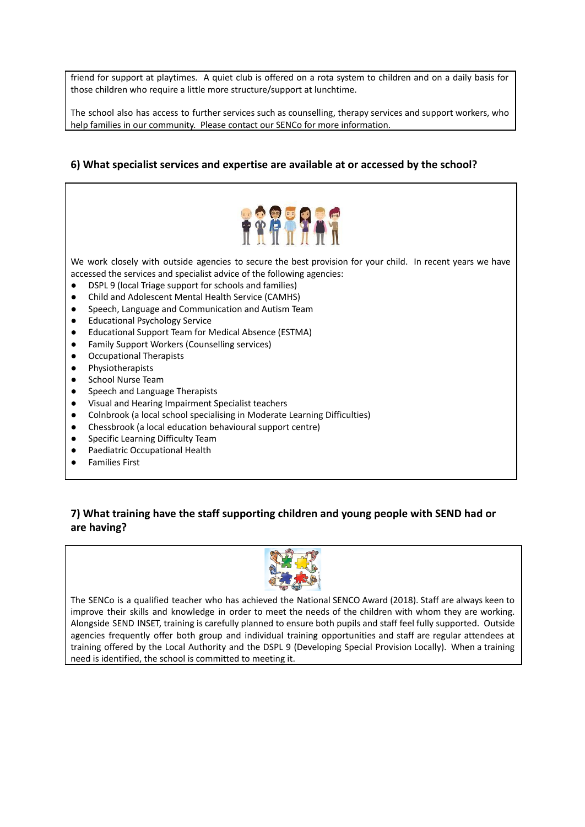friend for support at playtimes. A quiet club is offered on a rota system to children and on a daily basis for those children who require a little more structure/support at lunchtime.

The school also has access to further services such as counselling, therapy services and support workers, who help families in our community. Please contact our SENCo for more information.

#### **6) What specialist services and expertise are available at or accessed by the school?**



We work closely with outside agencies to secure the best provision for your child. In recent years we have accessed the services and specialist advice of the following agencies:

- DSPL 9 (local Triage support for schools and families)
- Child and Adolescent Mental Health Service (CAMHS)
- Speech, Language and Communication and Autism Team
- Educational Psychology Service
- Educational Support Team for Medical Absence (ESTMA)
- Family Support Workers (Counselling services)
- Occupational Therapists
- Physiotherapists
- School Nurse Team
- Speech and Language Therapists
- Visual and Hearing Impairment Specialist teachers
- Colnbrook (a local school specialising in Moderate Learning Difficulties)
- Chessbrook (a local education behavioural support centre)
- Specific Learning Difficulty Team
- Paediatric Occupational Health
- **Families First**

## **7) What training have the staff supporting children and young people with SEND had or are having?**



The SENCo is a qualified teacher who has achieved the National SENCO Award (2018). Staff are always keen to improve their skills and knowledge in order to meet the needs of the children with whom they are working. Alongside SEND INSET, training is carefully planned to ensure both pupils and staff feel fully supported. Outside agencies frequently offer both group and individual training opportunities and staff are regular attendees at training offered by the Local Authority and the DSPL 9 (Developing Special Provision Locally). When a training need is identified, the school is committed to meeting it.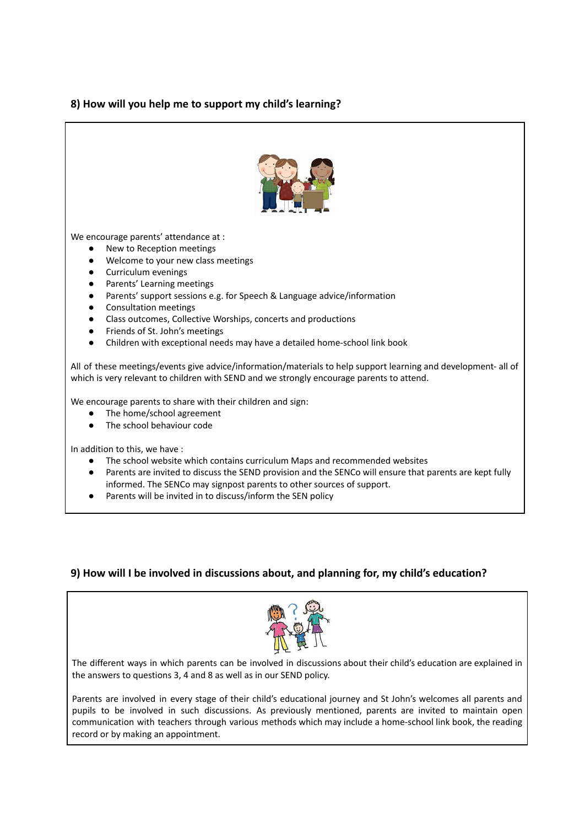### **8) How will you help me to support my child's learning?**



We encourage parents' attendance at :

- New to Reception meetings
- Welcome to your new class meetings
- Curriculum evenings
- Parents' Learning meetings
- Parents' support sessions e.g. for Speech & Language advice/information
- Consultation meetings
- Class outcomes, Collective Worships, concerts and productions
- Friends of St. John's meetings
- Children with exceptional needs may have a detailed home-school link book

All of these meetings/events give advice/information/materials to help support learning and development- all of which is very relevant to children with SEND and we strongly encourage parents to attend.

We encourage parents to share with their children and sign:

- The home/school agreement
- The school behaviour code

In addition to this, we have :

- The school website which contains curriculum Maps and recommended websites
- Parents are invited to discuss the SEND provision and the SENCo will ensure that parents are kept fully informed. The SENCo may signpost parents to other sources of support.
- Parents will be invited in to discuss/inform the SEN policy

#### **9) How will I be involved in discussions about, and planning for, my child's education?**



The different ways in which parents can be involved in discussions about their child's education are explained in the answers to questions 3, 4 and 8 as well as in our SEND policy.

Parents are involved in every stage of their child's educational journey and St John's welcomes all parents and pupils to be involved in such discussions. As previously mentioned, parents are invited to maintain open communication with teachers through various methods which may include a home-school link book, the reading record or by making an appointment.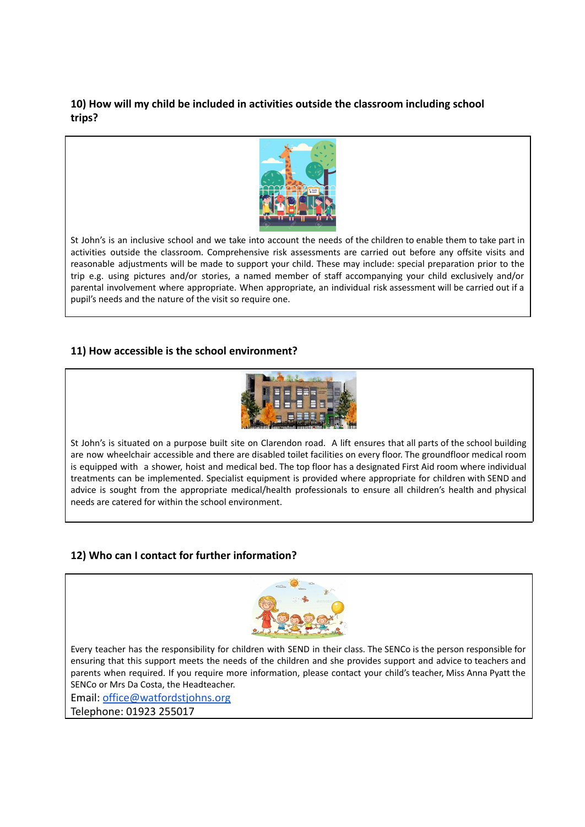## **10) How will my child be included in activities outside the classroom including school trips?**



St John's is an inclusive school and we take into account the needs of the children to enable them to take part in activities outside the classroom. Comprehensive risk assessments are carried out before any offsite visits and reasonable adjustments will be made to support your child. These may include: special preparation prior to the trip e.g. using pictures and/or stories, a named member of staff accompanying your child exclusively and/or parental involvement where appropriate. When appropriate, an individual risk assessment will be carried out if a pupil's needs and the nature of the visit so require one.

## **11) How accessible is the school environment?**



St John's is situated on a purpose built site on Clarendon road. A lift ensures that all parts of the school building are now wheelchair accessible and there are disabled toilet facilities on every floor. The groundfloor medical room is equipped with a shower, hoist and medical bed. The top floor has a designated First Aid room where individual treatments can be implemented. Specialist equipment is provided where appropriate for children with SEND and advice is sought from the appropriate medical/health professionals to ensure all children's health and physical needs are catered for within the school environment.

# **12) Who can I contact for further information?**



Every teacher has the responsibility for children with SEND in their class. The SENCo is the person responsible for ensuring that this support meets the needs of the children and she provides support and advice to teachers and parents when required. If you require more information, please contact your child's teacher, Miss Anna Pyatt the SENCo or Mrs Da Costa, the Headteacher.

Email: [office@watfordstjohns.org](mailto:office@watfordstjohns.org)

Telephone: 01923 255017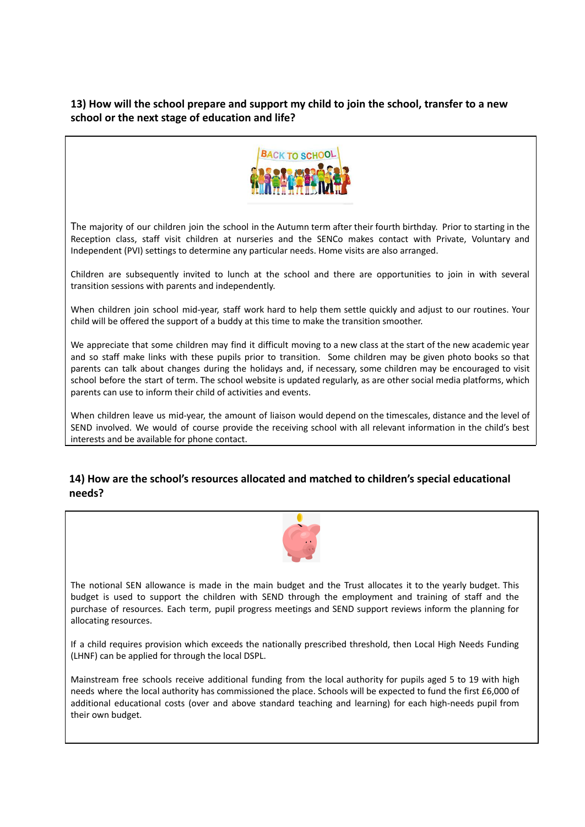## **13) How will the school prepare and support my child to join the school, transfer to a new school or the next stage of education and life?**



The majority of our children join the school in the Autumn term after their fourth birthday. Prior to starting in the Reception class, staff visit children at nurseries and the SENCo makes contact with Private, Voluntary and Independent (PVI) settings to determine any particular needs. Home visits are also arranged.

Children are subsequently invited to lunch at the school and there are opportunities to join in with several transition sessions with parents and independently.

When children join school mid-year, staff work hard to help them settle quickly and adjust to our routines. Your child will be offered the support of a buddy at this time to make the transition smoother.

We appreciate that some children may find it difficult moving to a new class at the start of the new academic year and so staff make links with these pupils prior to transition. Some children may be given photo books so that parents can talk about changes during the holidays and, if necessary, some children may be encouraged to visit school before the start of term. The school website is updated regularly, as are other social media platforms, which parents can use to inform their child of activities and events.

When children leave us mid-year, the amount of liaison would depend on the timescales, distance and the level of SEND involved. We would of course provide the receiving school with all relevant information in the child's best interests and be available for phone contact.

#### **14) How are the school's resources allocated and matched to children's special educational needs?**



The notional SEN allowance is made in the main budget and the Trust allocates it to the yearly budget. This budget is used to support the children with SEND through the employment and training of staff and the purchase of resources. Each term, pupil progress meetings and SEND support reviews inform the planning for allocating resources.

If a child requires provision which exceeds the nationally prescribed threshold, then Local High Needs Funding (LHNF) can be applied for through the local DSPL.

Mainstream free schools receive additional funding from the local authority for pupils aged 5 to 19 with high needs where the local authority has commissioned the place. Schools will be expected to fund the first £6,000 of additional educational costs (over and above standard teaching and learning) for each high-needs pupil from their own budget.